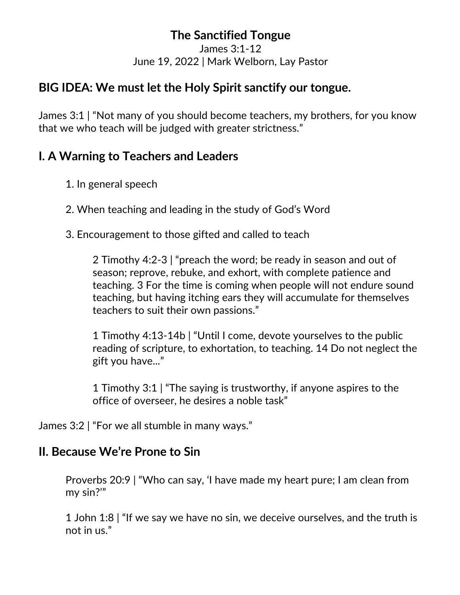# **The Sanctified Tongue**

James 3:1-12 June 19, 2022 | Mark Welborn, Lay Pastor

## **BIG IDEA: We must let the Holy Spirit sanctify our tongue.**

James 3:1 | "Not many of you should become teachers, my brothers, for you know that we who teach will be judged with greater strictness."

## **I. A Warning to Teachers and Leaders**

- 1. In general speech
- 2. When teaching and leading in the study of God's Word
- 3. Encouragement to those gifted and called to teach

2 Timothy 4:2-3 | "preach the word; be ready in season and out of season; reprove, rebuke, and exhort, with complete patience and teaching. 3 For the time is coming when people will not endure sound teaching, but having itching ears they will accumulate for themselves teachers to suit their own passions."

1 Timothy 4:13-14b | "Until I come, devote yourselves to the public reading of scripture, to exhortation, to teaching. 14 Do not neglect the gift you have..."

1 Timothy 3:1 | "The saying is trustworthy, if anyone aspires to the office of overseer, he desires a noble task"

James 3:2 | "For we all stumble in many ways."

## **II. Because We're Prone to Sin**

Proverbs 20:9 | "Who can say, 'I have made my heart pure; I am clean from my sin?'"

1 John 1:8 | "If we say we have no sin, we deceive ourselves, and the truth is not in us."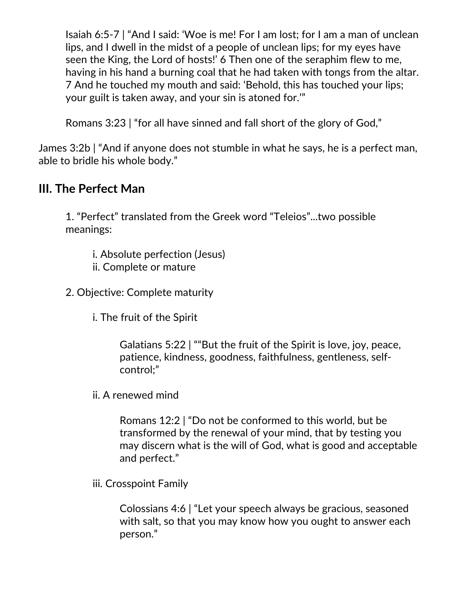Isaiah 6:5-7 | "And I said: 'Woe is me! For I am lost; for I am a man of unclean lips, and I dwell in the midst of a people of unclean lips; for my eyes have seen the King, the Lord of hosts!' 6 Then one of the seraphim flew to me, having in his hand a burning coal that he had taken with tongs from the altar. 7 And he touched my mouth and said: 'Behold, this has touched your lips; your guilt is taken away, and your sin is atoned for.'"

Romans 3:23 | "for all have sinned and fall short of the glory of God,"

James 3:2b | "And if anyone does not stumble in what he says, he is a perfect man, able to bridle his whole body."

## **III. The Perfect Man**

1. "Perfect" translated from the Greek word "Teleios"...two possible meanings:

- i. Absolute perfection (Jesus)
- ii. Complete or mature
- 2. Objective: Complete maturity
	- i. The fruit of the Spirit

Galatians 5:22 | ""But the fruit of the Spirit is love, joy, peace, patience, kindness, goodness, faithfulness, gentleness, selfcontrol;"

ii. A renewed mind

Romans 12:2 | "Do not be conformed to this world, but be transformed by the renewal of your mind, that by testing you may discern what is the will of God, what is good and acceptable and perfect."

iii. Crosspoint Family

Colossians 4:6 | "Let your speech always be gracious, seasoned with salt, so that you may know how you ought to answer each person."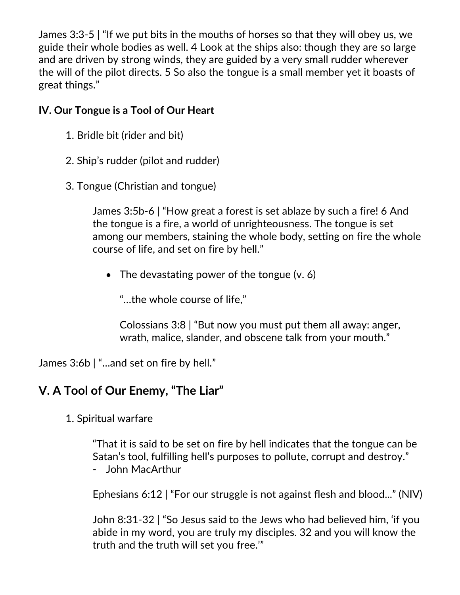James 3:3-5 | "If we put bits in the mouths of horses so that they will obey us, we guide their whole bodies as well. 4 Look at the ships also: though they are so large and are driven by strong winds, they are guided by a very small rudder wherever the will of the pilot directs. 5 So also the tongue is a small member yet it boasts of great things."

#### **IV. Our Tongue is a Tool of Our Heart**

- 1. Bridle bit (rider and bit)
- 2. Ship's rudder (pilot and rudder)
- 3. Tongue (Christian and tongue)

James 3:5b-6 | "How great a forest is set ablaze by such a fire! 6 And the tongue is a fire, a world of unrighteousness. The tongue is set among our members, staining the whole body, setting on fire the whole course of life, and set on fire by hell."

• The devastating power of the tongue  $(v, 6)$ 

"…the whole course of life,"

Colossians 3:8 | "But now you must put them all away: anger, wrath, malice, slander, and obscene talk from your mouth."

James 3:6b | "…and set on fire by hell."

# **V. A Tool of Our Enemy, "The Liar"**

1. Spiritual warfare

"That it is said to be set on fire by hell indicates that the tongue can be Satan's tool, fulfilling hell's purposes to pollute, corrupt and destroy." - John MacArthur

Ephesians 6:12 | "For our struggle is not against flesh and blood..." (NIV)

John 8:31-32 | "So Jesus said to the Jews who had believed him, 'if you abide in my word, you are truly my disciples. 32 and you will know the truth and the truth will set you free.'"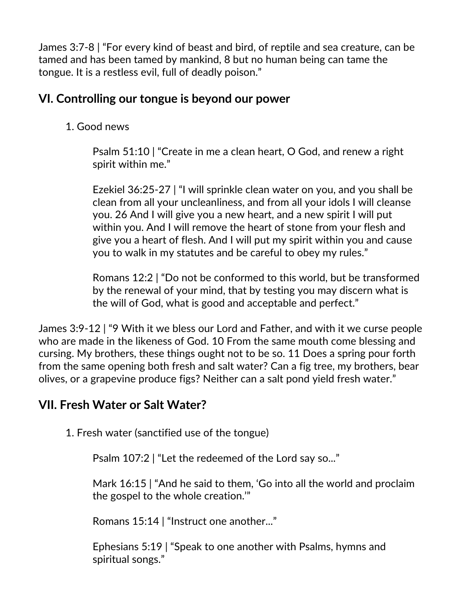James 3:7-8 | "For every kind of beast and bird, of reptile and sea creature, can be tamed and has been tamed by mankind, 8 but no human being can tame the tongue. It is a restless evil, full of deadly poison."

## **VI. Controlling our tongue is beyond our power**

1. Good news

Psalm 51:10 | "Create in me a clean heart, O God, and renew a right spirit within me."

Ezekiel 36:25-27 | "I will sprinkle clean water on you, and you shall be clean from all your uncleanliness, and from all your idols I will cleanse you. 26 And I will give you a new heart, and a new spirit I will put within you. And I will remove the heart of stone from your flesh and give you a heart of flesh. And I will put my spirit within you and cause you to walk in my statutes and be careful to obey my rules."

Romans 12:2 | "Do not be conformed to this world, but be transformed by the renewal of your mind, that by testing you may discern what is the will of God, what is good and acceptable and perfect."

James 3:9-12 | "9 With it we bless our Lord and Father, and with it we curse people who are made in the likeness of God. 10 From the same mouth come blessing and cursing. My brothers, these things ought not to be so. 11 Does a spring pour forth from the same opening both fresh and salt water? Can a fig tree, my brothers, bear olives, or a grapevine produce figs? Neither can a salt pond yield fresh water."

# **VII. Fresh Water or Salt Water?**

1. Fresh water (sanctified use of the tongue)

Psalm 107:2 | "Let the redeemed of the Lord say so..."

Mark 16:15 | "And he said to them, 'Go into all the world and proclaim the gospel to the whole creation.'"

Romans 15:14 | "Instruct one another..."

Ephesians 5:19 | "Speak to one another with Psalms, hymns and spiritual songs."